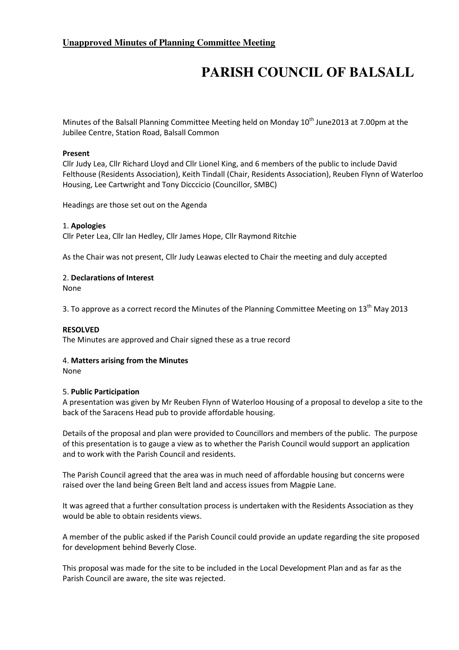# **Unapproved Minutes of Planning Committee Meeting**

# **PARISH COUNCIL OF BALSALL**

Minutes of the Balsall Planning Committee Meeting held on Monday 10<sup>th</sup> June2013 at 7.00pm at the Jubilee Centre, Station Road, Balsall Common

### Present

Cllr Judy Lea, Cllr Richard Lloyd and Cllr Lionel King, and 6 members of the public to include David Felthouse (Residents Association), Keith Tindall (Chair, Residents Association), Reuben Flynn of Waterloo Housing, Lee Cartwright and Tony Dicccicio (Councillor, SMBC)

Headings are those set out on the Agenda

## 1. Apologies

Cllr Peter Lea, Cllr Ian Hedley, Cllr James Hope, Cllr Raymond Ritchie

As the Chair was not present, Cllr Judy Leawas elected to Chair the meeting and duly accepted

## 2. Declarations of Interest

None

3. To approve as a correct record the Minutes of the Planning Committee Meeting on  $13<sup>th</sup>$  May 2013

#### RESOLVED

The Minutes are approved and Chair signed these as a true record

#### 4. Matters arising from the Minutes

None

#### 5. Public Participation

A presentation was given by Mr Reuben Flynn of Waterloo Housing of a proposal to develop a site to the back of the Saracens Head pub to provide affordable housing.

Details of the proposal and plan were provided to Councillors and members of the public. The purpose of this presentation is to gauge a view as to whether the Parish Council would support an application and to work with the Parish Council and residents.

The Parish Council agreed that the area was in much need of affordable housing but concerns were raised over the land being Green Belt land and access issues from Magpie Lane.

It was agreed that a further consultation process is undertaken with the Residents Association as they would be able to obtain residents views.

A member of the public asked if the Parish Council could provide an update regarding the site proposed for development behind Beverly Close.

This proposal was made for the site to be included in the Local Development Plan and as far as the Parish Council are aware, the site was rejected.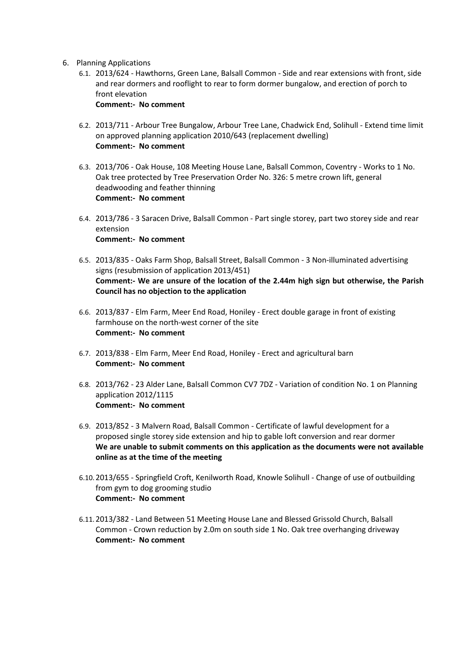- 6. Planning Applications
	- 6.1. 2013/624 Hawthorns, Green Lane, Balsall Common Side and rear extensions with front, side and rear dormers and rooflight to rear to form dormer bungalow, and erection of porch to front elevation Comment:- No comment
	- 6.2. 2013/711 Arbour Tree Bungalow, Arbour Tree Lane, Chadwick End, Solihull Extend time limit on approved planning application 2010/643 (replacement dwelling) Comment:- No comment
	- 6.3. 2013/706 Oak House, 108 Meeting House Lane, Balsall Common, Coventry Works to 1 No. Oak tree protected by Tree Preservation Order No. 326: 5 metre crown lift, general deadwooding and feather thinning Comment:- No comment
	- 6.4. 2013/786 3 Saracen Drive, Balsall Common Part single storey, part two storey side and rear extension Comment:- No comment
	- 6.5. 2013/835 Oaks Farm Shop, Balsall Street, Balsall Common 3 Non-illuminated advertising signs (resubmission of application 2013/451) Comment:- We are unsure of the location of the 2.44m high sign but otherwise, the Parish Council has no objection to the application
	- 6.6. 2013/837 Elm Farm, Meer End Road, Honiley Erect double garage in front of existing farmhouse on the north-west corner of the site Comment:- No comment
	- 6.7. 2013/838 Elm Farm, Meer End Road, Honiley Erect and agricultural barn Comment:- No comment
	- 6.8. 2013/762 23 Alder Lane, Balsall Common CV7 7DZ Variation of condition No. 1 on Planning application 2012/1115 Comment:- No comment
	- 6.9. 2013/852 3 Malvern Road, Balsall Common Certificate of lawful development for a proposed single storey side extension and hip to gable loft conversion and rear dormer We are unable to submit comments on this application as the documents were not available online as at the time of the meeting
	- 6.10.2013/655 Springfield Croft, Kenilworth Road, Knowle Solihull Change of use of outbuilding from gym to dog grooming studio Comment:- No comment
	- 6.11.2013/382 Land Between 51 Meeting House Lane and Blessed Grissold Church, Balsall Common - Crown reduction by 2.0m on south side 1 No. Oak tree overhanging driveway Comment:- No comment